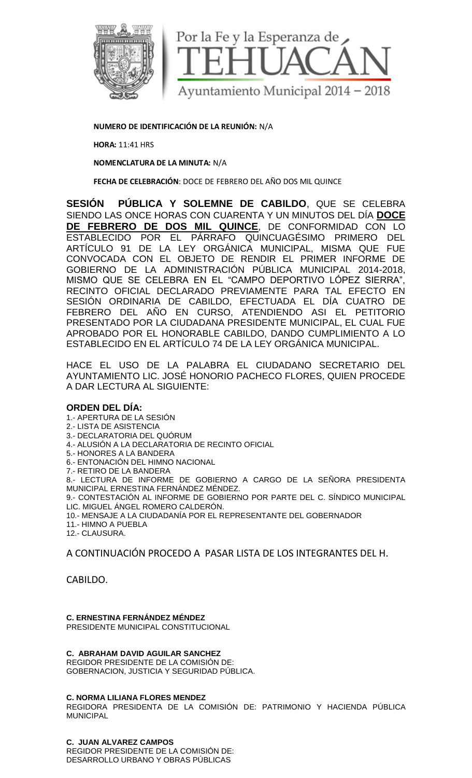

**NUMERO DE IDENTIFICACIÓN DE LA REUNIÓN:** N/A

**HORA:** 11:41 HRS

**NOMENCLATURA DE LA MINUTA:** N/A

**FECHA DE CELEBRACIÓN**: DOCE DE FEBRERO DEL AÑO DOS MIL QUINCE

**SESIÓN PÚBLICA Y SOLEMNE DE CABILDO**, QUE SE CELEBRA SIENDO LAS ONCE HORAS CON CUARENTA Y UN MINUTOS DEL DÍA **DOCE DE FEBRERO DE DOS MIL QUINCE**, DE CONFORMIDAD CON LO ESTABLECIDO POR EL PÁRRAFO QUINCUAGÉSIMO PRIMERO DEL ARTÍCULO 91 DE LA LEY ORGÁNICA MUNICIPAL, MISMA QUE FUE CONVOCADA CON EL OBJETO DE RENDIR EL PRIMER INFORME DE GOBIERNO DE LA ADMINISTRACIÓN PÚBLICA MUNICIPAL 2014-2018, MISMO QUE SE CELEBRA EN EL "CAMPO DEPORTIVO LÓPEZ SIERRA", RECINTO OFICIAL DECLARADO PREVIAMENTE PARA TAL EFECTO EN SESIÓN ORDINARIA DE CABILDO, EFECTUADA EL DÍA CUATRO DE FEBRERO DEL AÑO EN CURSO, ATENDIENDO ASI EL PETITORIO PRESENTADO POR LA CIUDADANA PRESIDENTE MUNICIPAL, EL CUAL FUE APROBADO POR EL HONORABLE CABILDO, DANDO CUMPLIMIENTO A LO ESTABLECIDO EN EL ARTÍCULO 74 DE LA LEY ORGÁNICA MUNICIPAL.

HACE EL USO DE LA PALABRA EL CIUDADANO SECRETARIO DEL AYUNTAMIENTO LIC. JOSÉ HONORIO PACHECO FLORES, QUIEN PROCEDE A DAR LECTURA AL SIGUIENTE:

### **ORDEN DEL DÍA:**

1.- APERTURA DE LA SESIÓN

- 2.- LISTA DE ASISTENCIA
- 3.- DECLARATORIA DEL QUÓRUM
- 4.- ALUSIÓN A LA DECLARATORIA DE RECINTO OFICIAL

5.- HONORES A LA BANDERA

6.- ENTONACIÓN DEL HIMNO NACIONAL

7.- RETIRO DE LA BANDERA

8.- LECTURA DE INFORME DE GOBIERNO A CARGO DE LA SEÑORA PRESIDENTA MUNICIPAL ERNESTINA FERNÁNDEZ MÉNDEZ.

9.- CONTESTACIÓN AL INFORME DE GOBIERNO POR PARTE DEL C. SÍNDICO MUNICIPAL LIC. MIGUEL ÁNGEL ROMERO CALDERÓN.

- 10.- MENSAJE A LA CIUDADANÍA POR EL REPRESENTANTE DEL GOBERNADOR
- 11.- HIMNO A PUEBLA

12.- CLAUSURA.

A CONTINUACIÓN PROCEDO A PASAR LISTA DE LOS INTEGRANTES DEL H.

CABILDO.

#### **C. ERNESTINA FERNÁNDEZ MÉNDEZ** PRESIDENTE MUNICIPAL CONSTITUCIONAL

## **C. ABRAHAM DAVID AGUILAR SANCHEZ**

REGIDOR PRESIDENTE DE LA COMISIÓN DE: GOBERNACION, JUSTICIA Y SEGURIDAD PÚBLICA.

### **C. NORMA LILIANA FLORES MENDEZ**

REGIDORA PRESIDENTA DE LA COMISIÓN DE: PATRIMONIO Y HACIENDA PÚBLICA MUNICIPAL

**C. JUAN ALVAREZ CAMPOS** REGIDOR PRESIDENTE DE LA COMISIÓN DE: DESARROLLO URBANO Y OBRAS PÚBLICAS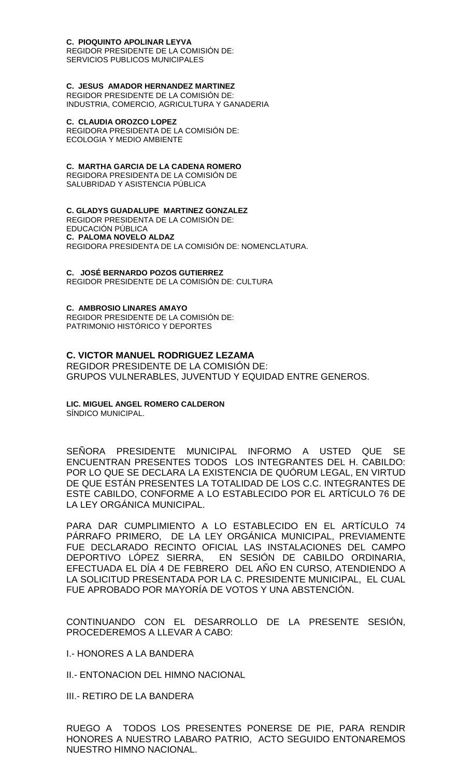### **C. PIOQUINTO APOLINAR LEYVA**

REGIDOR PRESIDENTE DE LA COMISIÓN DE: SERVICIOS PUBLICOS MUNICIPALES

### **C. JESUS AMADOR HERNANDEZ MARTINEZ**

REGIDOR PRESIDENTE DE LA COMISIÓN DE: INDUSTRIA, COMERCIO, AGRICULTURA Y GANADERIA

#### **C. CLAUDIA OROZCO LOPEZ**

REGIDORA PRESIDENTA DE LA COMISIÓN DE: ECOLOGIA Y MEDIO AMBIENTE

### **C. MARTHA GARCIA DE LA CADENA ROMERO**

REGIDORA PRESIDENTA DE LA COMISIÓN DE SALUBRIDAD Y ASISTENCIA PÚBLICA

### **C. GLADYS GUADALUPE MARTINEZ GONZALEZ**

REGIDOR PRESIDENTA DE LA COMISIÓN DE: EDUCACIÓN PÚBLICA **C. PALOMA NOVELO ALDAZ** REGIDORA PRESIDENTA DE LA COMISIÓN DE: NOMENCLATURA.

### **C. JOSÉ BERNARDO POZOS GUTIERREZ**

REGIDOR PRESIDENTE DE LA COMISIÓN DE: CULTURA

#### **C. AMBROSIO LINARES AMAYO**

REGIDOR PRESIDENTE DE LA COMISIÓN DE: PATRIMONIO HISTÓRICO Y DEPORTES

### **C. VICTOR MANUEL RODRIGUEZ LEZAMA**

REGIDOR PRESIDENTE DE LA COMISIÓN DE: GRUPOS VULNERABLES, JUVENTUD Y EQUIDAD ENTRE GENEROS.

# **LIC. MIGUEL ANGEL ROMERO CALDERON**

SÍNDICO MUNICIPAL.

SEÑORA PRESIDENTE MUNICIPAL INFORMO A USTED QUE SE ENCUENTRAN PRESENTES TODOS LOS INTEGRANTES DEL H. CABILDO: POR LO QUE SE DECLARA LA EXISTENCIA DE QUÓRUM LEGAL, EN VIRTUD DE QUE ESTÁN PRESENTES LA TOTALIDAD DE LOS C.C. INTEGRANTES DE ESTE CABILDO, CONFORME A LO ESTABLECIDO POR EL ARTÍCULO 76 DE LA LEY ORGÁNICA MUNICIPAL.

PARA DAR CUMPLIMIENTO A LO ESTABLECIDO EN EL ARTÍCULO 74 PÁRRAFO PRIMERO, DE LA LEY ORGÁNICA MUNICIPAL, PREVIAMENTE FUE DECLARADO RECINTO OFICIAL LAS INSTALACIONES DEL CAMPO DEPORTIVO LÓPEZ SIERRA, EN SESIÓN DE CABILDO ORDINARIA, EFECTUADA EL DÍA 4 DE FEBRERO DEL AÑO EN CURSO, ATENDIENDO A LA SOLICITUD PRESENTADA POR LA C. PRESIDENTE MUNICIPAL, EL CUAL FUE APROBADO POR MAYORÍA DE VOTOS Y UNA ABSTENCIÓN.

CONTINUANDO CON EL DESARROLLO DE LA PRESENTE SESIÓN, PROCEDEREMOS A LLEVAR A CABO:

I.- HONORES A LA BANDERA

II.- ENTONACION DEL HIMNO NACIONAL

III.- RETIRO DE LA BANDERA

RUEGO A TODOS LOS PRESENTES PONERSE DE PIE, PARA RENDIR HONORES A NUESTRO LABARO PATRIO, ACTO SEGUIDO ENTONAREMOS NUESTRO HIMNO NACIONAL.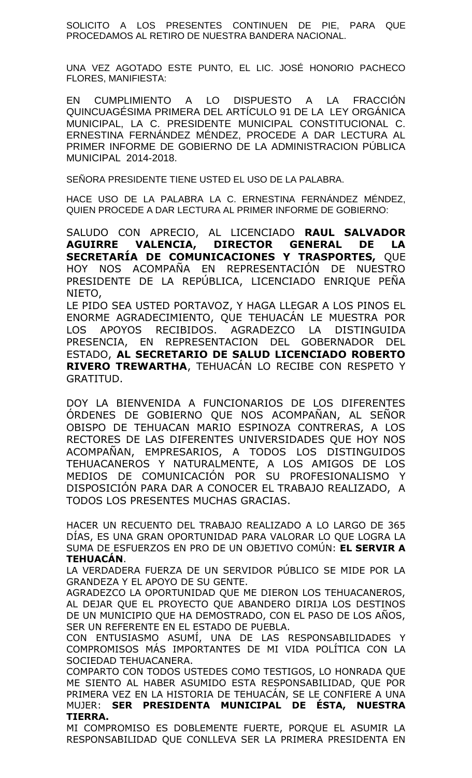SOLICITO A LOS PRESENTES CONTINUEN DE PIE, PARA QUE PROCEDAMOS AL RETIRO DE NUESTRA BANDERA NACIONAL.

UNA VEZ AGOTADO ESTE PUNTO, EL LIC. JOSÉ HONORIO PACHECO FLORES, MANIFIESTA:

EN CUMPLIMIENTO A LO DISPUESTO A LA FRACCIÓN QUINCUAGÉSIMA PRIMERA DEL ARTÍCULO 91 DE LA LEY ORGÁNICA MUNICIPAL, LA C. PRESIDENTE MUNICIPAL CONSTITUCIONAL C. ERNESTINA FERNÁNDEZ MÉNDEZ, PROCEDE A DAR LECTURA AL PRIMER INFORME DE GOBIERNO DE LA ADMINISTRACION PÚBLICA MUNICIPAL 2014-2018.

SEÑORA PRESIDENTE TIENE USTED EL USO DE LA PALABRA.

HACE USO DE LA PALABRA LA C. ERNESTINA FERNÁNDEZ MÉNDEZ, QUIEN PROCEDE A DAR LECTURA AL PRIMER INFORME DE GOBIERNO:

SALUDO CON APRECIO, AL LICENCIADO **RAUL SALVADOR AGUIRRE VALENCIA, DIRECTOR GENERAL DE LA SECRETARÍA DE COMUNICACIONES Y TRASPORTES,** QUE HOY NOS ACOMPAÑA EN REPRESENTACIÓN DE NUESTRO PRESIDENTE DE LA REPÚBLICA, LICENCIADO ENRIQUE PEÑA NIETO,

LE PIDO SEA USTED PORTAVOZ, Y HAGA LLEGAR A LOS PINOS EL ENORME AGRADECIMIENTO, QUE TEHUACÁN LE MUESTRA POR LOS APOYOS RECIBIDOS. AGRADEZCO LA DISTINGUIDA PRESENCIA, EN REPRESENTACION DEL GOBERNADOR DEL ESTADO, **AL SECRETARIO DE SALUD LICENCIADO ROBERTO RIVERO TREWARTHA**, TEHUACÁN LO RECIBE CON RESPETO Y GRATITUD.

DOY LA BIENVENIDA A FUNCIONARIOS DE LOS DIFERENTES ÓRDENES DE GOBIERNO QUE NOS ACOMPAÑAN, AL SEÑOR OBISPO DE TEHUACAN MARIO ESPINOZA CONTRERAS, A LOS RECTORES DE LAS DIFERENTES UNIVERSIDADES QUE HOY NOS ACOMPAÑAN, EMPRESARIOS, A TODOS LOS DISTINGUIDOS TEHUACANEROS Y NATURALMENTE, A LOS AMIGOS DE LOS MEDIOS DE COMUNICACIÓN POR SU PROFESIONALISMO Y DISPOSICIÓN PARA DAR A CONOCER EL TRABAJO REALIZADO, A TODOS LOS PRESENTES MUCHAS GRACIAS.

HACER UN RECUENTO DEL TRABAJO REALIZADO A LO LARGO DE 365 DÍAS, ES UNA GRAN OPORTUNIDAD PARA VALORAR LO QUE LOGRA LA SUMA DE ESFUERZOS EN PRO DE UN OBJETIVO COMÚN: **EL SERVIR A TEHUACÁN**.

LA VERDADERA FUERZA DE UN SERVIDOR PÚBLICO SE MIDE POR LA GRANDEZA Y EL APOYO DE SU GENTE.

AGRADEZCO LA OPORTUNIDAD QUE ME DIERON LOS TEHUACANEROS, AL DEJAR QUE EL PROYECTO QUE ABANDERO DIRIJA LOS DESTINOS DE UN MUNICIPIO QUE HA DEMOSTRADO, CON EL PASO DE LOS AÑOS, SER UN REFERENTE EN EL ESTADO DE PUEBLA.

CON ENTUSIASMO ASUMÍ, UNA DE LAS RESPONSABILIDADES Y COMPROMISOS MÁS IMPORTANTES DE MI VIDA POLÍTICA CON LA SOCIEDAD TEHUACANERA.

COMPARTO CON TODOS USTEDES COMO TESTIGOS, LO HONRADA QUE ME SIENTO AL HABER ASUMIDO ESTA RESPONSABILIDAD, QUE POR PRIMERA VEZ EN LA HISTORIA DE TEHUACÁN, SE LE CONFIERE A UNA MUJER: **SER PRESIDENTA MUNICIPAL DE ÉSTA, NUESTRA TIERRA.**

MI COMPROMISO ES DOBLEMENTE FUERTE, PORQUE EL ASUMIR LA RESPONSABILIDAD QUE CONLLEVA SER LA PRIMERA PRESIDENTA EN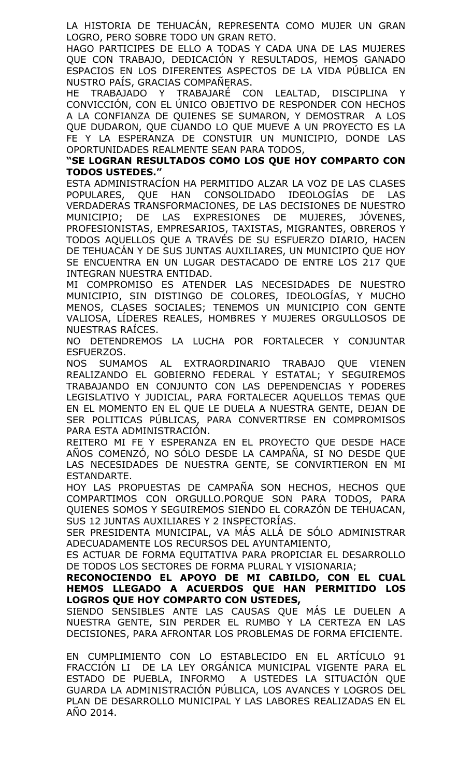LA HISTORIA DE TEHUACÁN, REPRESENTA COMO MUJER UN GRAN LOGRO, PERO SOBRE TODO UN GRAN RETO.

HAGO PARTICIPES DE ELLO A TODAS Y CADA UNA DE LAS MUJERES QUE CON TRABAJO, DEDICACIÓN Y RESULTADOS, HEMOS GANADO ESPACIOS EN LOS DIFERENTES ASPECTOS DE LA VIDA PÚBLICA EN NUSTRO PAÍS, GRACIAS COMPAÑERAS.

HE TRABAJADO Y TRABAJARÉ CON LEALTAD, DISCIPLINA Y CONVICCIÓN, CON EL ÚNICO OBJETIVO DE RESPONDER CON HECHOS A LA CONFIANZA DE QUIENES SE SUMARON, Y DEMOSTRAR A LOS QUE DUDARON, QUE CUANDO LO QUE MUEVE A UN PROYECTO ES LA FE Y LA ESPERANZA DE CONSTUIR UN MUNICIPIO, DONDE LAS OPORTUNIDADES REALMENTE SEAN PARA TODOS,

### **"SE LOGRAN RESULTADOS COMO LOS QUE HOY COMPARTO CON TODOS USTEDES."**

ESTA ADMINISTRACÍON HA PERMITIDO ALZAR LA VOZ DE LAS CLASES POPULARES, QUE HAN CONSOLIDADO IDEOLOGÍAS DE LAS VERDADERAS TRANSFORMACIONES, DE LAS DECISIONES DE NUESTRO MUNICIPIO; DE LAS EXPRESIONES DE MUJERES, JÓVENES, PROFESIONISTAS, EMPRESARIOS, TAXISTAS, MIGRANTES, OBREROS Y TODOS AQUELLOS QUE A TRAVÉS DE SU ESFUERZO DIARIO, HACEN DE TEHUACÁN Y DE SUS JUNTAS AUXILIARES, UN MUNICIPIO QUE HOY SE ENCUENTRA EN UN LUGAR DESTACADO DE ENTRE LOS 217 QUE INTEGRAN NUESTRA ENTIDAD.

MI COMPROMISO ES ATENDER LAS NECESIDADES DE NUESTRO MUNICIPIO, SIN DISTINGO DE COLORES, IDEOLOGÍAS, Y MUCHO MENOS, CLASES SOCIALES; TENEMOS UN MUNICIPIO CON GENTE VALIOSA, LÍDERES REALES, HOMBRES Y MUJERES ORGULLOSOS DE NUESTRAS RAÍCES.

NO DETENDREMOS LA LUCHA POR FORTALECER Y CONJUNTAR ESFUERZOS.

NOS SUMAMOS AL EXTRAORDINARIO TRABAJO QUE VIENEN REALIZANDO EL GOBIERNO FEDERAL Y ESTATAL; Y SEGUIREMOS TRABAJANDO EN CONJUNTO CON LAS DEPENDENCIAS Y PODERES LEGISLATIVO Y JUDICIAL, PARA FORTALECER AQUELLOS TEMAS QUE EN EL MOMENTO EN EL QUE LE DUELA A NUESTRA GENTE, DEJAN DE SER POLITICAS PÚBLICAS, PARA CONVERTIRSE EN COMPROMISOS PARA ESTA ADMINISTRACIÓN.

REITERO MI FE Y ESPERANZA EN EL PROYECTO QUE DESDE HACE AÑOS COMENZÓ, NO SÓLO DESDE LA CAMPAÑA, SI NO DESDE QUE LAS NECESIDADES DE NUESTRA GENTE, SE CONVIRTIERON EN MI ESTANDARTE.

HOY LAS PROPUESTAS DE CAMPAÑA SON HECHOS, HECHOS QUE COMPARTIMOS CON ORGULLO.PORQUE SON PARA TODOS, PARA QUIENES SOMOS Y SEGUIREMOS SIENDO EL CORAZÓN DE TEHUACAN, SUS 12 JUNTAS AUXILIARES Y 2 INSPECTORÍAS.

SER PRESIDENTA MUNICIPAL, VA MÁS ALLÁ DE SÓLO ADMINISTRAR ADECUADAMENTE LOS RECURSOS DEL AYUNTAMIENTO,

ES ACTUAR DE FORMA EQUITATIVA PARA PROPICIAR EL DESARROLLO DE TODOS LOS SECTORES DE FORMA PLURAL Y VISIONARIA;

**RECONOCIENDO EL APOYO DE MI CABILDO, CON EL CUAL HEMOS LLEGADO A ACUERDOS QUE HAN PERMITIDO LOS LOGROS QUE HOY COMPARTO CON USTEDES,**

SIENDO SENSIBLES ANTE LAS CAUSAS QUE MÁS LE DUELEN A NUESTRA GENTE, SIN PERDER EL RUMBO Y LA CERTEZA EN LAS DECISIONES, PARA AFRONTAR LOS PROBLEMAS DE FORMA EFICIENTE.

EN CUMPLIMIENTO CON LO ESTABLECIDO EN EL ARTÍCULO 91 FRACCIÓN LI DE LA LEY ORGÁNICA MUNICIPAL VIGENTE PARA EL ESTADO DE PUEBLA, INFORMO A USTEDES LA SITUACIÓN QUE GUARDA LA ADMINISTRACIÓN PÚBLICA, LOS AVANCES Y LOGROS DEL PLAN DE DESARROLLO MUNICIPAL Y LAS LABORES REALIZADAS EN EL ANO 2014.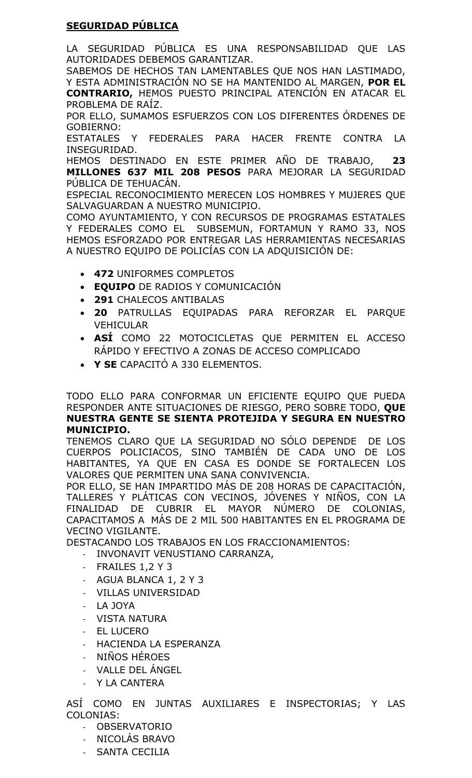# **SEGURIDAD PÚBLICA**

LA SEGURIDAD PÚBLICA ES UNA RESPONSABILIDAD QUE LAS AUTORIDADES DEBEMOS GARANTIZAR.

SABEMOS DE HECHOS TAN LAMENTABLES QUE NOS HAN LASTIMADO, Y ESTA ADMINISTRACIÓN NO SE HA MANTENIDO AL MARGEN, **POR EL CONTRARIO,** HEMOS PUESTO PRINCIPAL ATENCIÓN EN ATACAR EL PROBLEMA DE RAÍZ.

POR ELLO, SUMAMOS ESFUERZOS CON LOS DIFERENTES ÓRDENES DE GOBIERNO:

ESTATALES Y FEDERALES PARA HACER FRENTE CONTRA LA INSEGURIDAD.

HEMOS DESTINADO EN ESTE PRIMER AÑO DE TRABAJO, **23 MILLONES 637 MIL 208 PESOS** PARA MEJORAR LA SEGURIDAD PÚBLICA DE TEHUACÁN.

ESPECIAL RECONOCIMIENTO MERECEN LOS HOMBRES Y MUJERES QUE SALVAGUARDAN A NUESTRO MUNICIPIO.

COMO AYUNTAMIENTO, Y CON RECURSOS DE PROGRAMAS ESTATALES Y FEDERALES COMO EL SUBSEMUN, FORTAMUN Y RAMO 33, NOS HEMOS ESFORZADO POR ENTREGAR LAS HERRAMIENTAS NECESARIAS A NUESTRO EQUIPO DE POLICÍAS CON LA ADQUISICIÓN DE:

- **472** UNIFORMES COMPLETOS
- **EQUIPO** DE RADIOS Y COMUNICACIÓN
- **291** CHALECOS ANTIBALAS
- **20** PATRULLAS EQUIPADAS PARA REFORZAR EL PARQUE VEHICULAR
- **ASÍ** COMO 22 MOTOCICLETAS QUE PERMITEN EL ACCESO RÁPIDO Y EFECTIVO A ZONAS DE ACCESO COMPLICADO
- **Y SE** CAPACITÓ A 330 ELEMENTOS.

TODO ELLO PARA CONFORMAR UN EFICIENTE EQUIPO QUE PUEDA RESPONDER ANTE SITUACIONES DE RIESGO, PERO SOBRE TODO, **QUE NUESTRA GENTE SE SIENTA PROTEJIDA Y SEGURA EN NUESTRO MUNICIPIO.**

TENEMOS CLARO QUE LA SEGURIDAD NO SÓLO DEPENDE DE LOS CUERPOS POLICIACOS, SINO TAMBIÉN DE CADA UNO DE LOS HABITANTES, YA QUE EN CASA ES DONDE SE FORTALECEN LOS VALORES QUE PERMITEN UNA SANA CONVIVENCIA.

POR ELLO, SE HAN IMPARTIDO MÁS DE 208 HORAS DE CAPACITACIÓN, TALLERES Y PLÁTICAS CON VECINOS, JÓVENES Y NIÑOS, CON LA FINALIDAD DE CUBRIR EL MAYOR NÚMERO DE COLONIAS, CAPACITAMOS A MÁS DE 2 MIL 500 HABITANTES EN EL PROGRAMA DE VECINO VIGILANTE.

DESTACANDO LOS TRABAJOS EN LOS FRACCIONAMIENTOS:

- INVONAVIT VENUSTIANO CARRANZA,
- FRAILES 1,2 Y 3
- AGUA BLANCA 1, 2 Y 3
- VILLAS UNIVERSIDAD
- LA JOYA
- VISTA NATURA
- EL LUCERO
- HACIENDA LA ESPERANZA
- NIÑOS HÉROES
- VALLE DEL ÁNGEL
- Y LA CANTERA

ASÍ COMO EN JUNTAS AUXILIARES E INSPECTORIAS; Y LAS COLONIAS:

- OBSERVATORIO
- NICOLÁS BRAVO
- SANTA CECILIA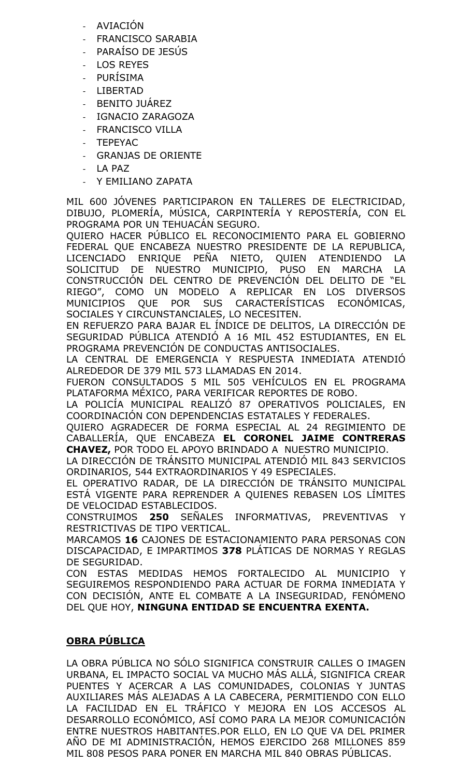- **AVIACIÓN**
- FRANCISCO SARABIA
- PARAÍSO DE JESÚS
- LOS REYES
- PURÍSIMA
- LIBERTAD
- BENITO JUÁREZ
- IGNACIO ZARAGOZA
- FRANCISCO VILLA
- TEPEYAC
- GRANJAS DE ORIENTE
- LA PAZ
- Y EMILIANO ZAPATA

MIL 600 JÓVENES PARTICIPARON EN TALLERES DE ELECTRICIDAD, DIBUJO, PLOMERÍA, MÚSICA, CARPINTERÍA Y REPOSTERÍA, CON EL PROGRAMA POR UN TEHUACÁN SEGURO.

QUIERO HACER PÚBLICO EL RECONOCIMIENTO PARA EL GOBIERNO FEDERAL QUE ENCABEZA NUESTRO PRESIDENTE DE LA REPUBLICA, LICENCIADO ENRIQUE PEÑA NIETO, QUIEN ATENDIENDO LA SOLICITUD DE NUESTRO MUNICIPIO, PUSO EN MARCHA LA CONSTRUCCIÓN DEL CENTRO DE PREVENCIÓN DEL DELITO DE "EL RIEGO", COMO UN MODELO A REPLICAR EN LOS DIVERSOS MUNICIPIOS QUE POR SUS CARACTERÍSTICAS ECONÓMICAS, SOCIALES Y CIRCUNSTANCIALES, LO NECESITEN.

EN REFUERZO PARA BAJAR EL ÍNDICE DE DELITOS, LA DIRECCIÓN DE SEGURIDAD PÚBLICA ATENDIÓ A 16 MIL 452 ESTUDIANTES, EN EL PROGRAMA PREVENCIÓN DE CONDUCTAS ANTISOCIALES.

LA CENTRAL DE EMERGENCIA Y RESPUESTA INMEDIATA ATENDIÓ ALREDEDOR DE 379 MIL 573 LLAMADAS EN 2014.

FUERON CONSULTADOS 5 MIL 505 VEHÍCULOS EN EL PROGRAMA PLATAFORMA MÉXICO, PARA VERIFICAR REPORTES DE ROBO.

LA POLICÍA MUNICIPAL REALIZÓ 87 OPERATIVOS POLICIALES, EN COORDINACIÓN CON DEPENDENCIAS ESTATALES Y FEDERALES.

QUIERO AGRADECER DE FORMA ESPECIAL AL 24 REGIMIENTO DE CABALLERÍA, QUE ENCABEZA **EL CORONEL JAIME CONTRERAS CHAVEZ,** POR TODO EL APOYO BRINDADO A NUESTRO MUNICIPIO.

LA DIRECCIÓN DE TRÁNSITO MUNICIPAL ATENDIÓ MIL 843 SERVICIOS ORDINARIOS, 544 EXTRAORDINARIOS Y 49 ESPECIALES.

EL OPERATIVO RADAR, DE LA DIRECCIÓN DE TRÁNSITO MUNICIPAL ESTÁ VIGENTE PARA REPRENDER A QUIENES REBASEN LOS LÍMITES DE VELOCIDAD ESTABLECIDOS.

CONSTRUIMOS **250** SEÑALES INFORMATIVAS, PREVENTIVAS Y RESTRICTIVAS DE TIPO VERTICAL.

MARCAMOS **16** CAJONES DE ESTACIONAMIENTO PARA PERSONAS CON DISCAPACIDAD, E IMPARTIMOS **378** PLÁTICAS DE NORMAS Y REGLAS DE SEGURIDAD.

CON ESTAS MEDIDAS HEMOS FORTALECIDO AL MUNICIPIO Y SEGUIREMOS RESPONDIENDO PARA ACTUAR DE FORMA INMEDIATA Y CON DECISIÓN, ANTE EL COMBATE A LA INSEGURIDAD, FENÓMENO DEL QUE HOY, **NINGUNA ENTIDAD SE ENCUENTRA EXENTA.**

# **OBRA PÚBLICA**

LA OBRA PÚBLICA NO SÓLO SIGNIFICA CONSTRUIR CALLES O IMAGEN URBANA, EL IMPACTO SOCIAL VA MUCHO MÁS ALLÁ, SIGNIFICA CREAR PUENTES Y ACERCAR A LAS COMUNIDADES, COLONIAS Y JUNTAS AUXILIARES MÁS ALEJADAS A LA CABECERA, PERMITIENDO CON ELLO LA FACILIDAD EN EL TRÁFICO Y MEJORA EN LOS ACCESOS AL DESARROLLO ECONÓMICO, ASÍ COMO PARA LA MEJOR COMUNICACIÓN ENTRE NUESTROS HABITANTES.POR ELLO, EN LO QUE VA DEL PRIMER AÑO DE MI ADMINISTRACIÓN, HEMOS EJERCIDO 268 MILLONES 859 MIL 808 PESOS PARA PONER EN MARCHA MIL 840 OBRAS PÚBLICAS.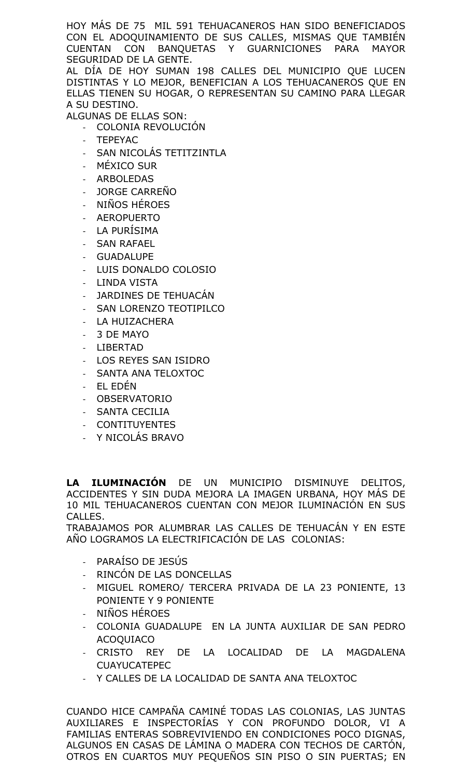HOY MÁS DE 75 MIL 591 TEHUACANEROS HAN SIDO BENEFICIADOS CON EL ADOQUINAMIENTO DE SUS CALLES, MISMAS QUE TAMBIÉN CUENTAN CON BANQUETAS Y GUARNICIONES PARA MAYOR SEGURIDAD DE LA GENTE.

AL DÍA DE HOY SUMAN 198 CALLES DEL MUNICIPIO QUE LUCEN DISTINTAS Y LO MEJOR, BENEFICIAN A LOS TEHUACANEROS QUE EN ELLAS TIENEN SU HOGAR, O REPRESENTAN SU CAMINO PARA LLEGAR A SU DESTINO.

ALGUNAS DE ELLAS SON:

- COLONIA REVOLUCIÓN
- **TEPEYAC**
- SAN NICOLÁS TETITZINTLA
- MÉXICO SUR
- **ARBOLEDAS**
- JORGE CARREÑO
- NIÑOS HÉROES
- **AEROPUERTO**
- LA PURISIMA
- **SAN RAFAEL**
- **GUADALUPE**
- LUIS DONALDO COLOSIO
- LINDA VISTA
- JARDINES DE TEHUACÁN
- SAN LORENZO TEOTIPILCO
- LA HUIZACHERA
- 3 DE MAYO
- LIBERTAD
- LOS REYES SAN ISIDRO
- SANTA ANA TELOXTOC
- EL EDÉN
- **OBSERVATORIO**
- SANTA CECILIA
- **CONTITUYENTES**
- Y NICOLÁS BRAVO

**LA ILUMINACIÓN** DE UN MUNICIPIO DISMINUYE DELITOS, ACCIDENTES Y SIN DUDA MEJORA LA IMAGEN URBANA, HOY MÁS DE 10 MIL TEHUACANEROS CUENTAN CON MEJOR ILUMINACIÓN EN SUS CALLES.

TRABAJAMOS POR ALUMBRAR LAS CALLES DE TEHUACÁN Y EN ESTE AÑO LOGRAMOS LA ELECTRIFICACIÓN DE LAS COLONIAS:

- PARAÍSO DE JESÚS
- RINCÓN DE LAS DONCELLAS
- MIGUEL ROMERO/ TERCERA PRIVADA DE LA 23 PONIENTE, 13 PONIENTE Y 9 PONIENTE
- NIÑOS HÉROES
- COLONIA GUADALUPE EN LA JUNTA AUXILIAR DE SAN PEDRO ACOQUIACO
- CRISTO REY DE LA LOCALIDAD DE LA MAGDALENA CUAYUCATEPEC
- Y CALLES DE LA LOCALIDAD DE SANTA ANA TELOXTOC

CUANDO HICE CAMPAÑA CAMINÉ TODAS LAS COLONIAS, LAS JUNTAS AUXILIARES E INSPECTORÍAS Y CON PROFUNDO DOLOR, VI A FAMILIAS ENTERAS SOBREVIVIENDO EN CONDICIONES POCO DIGNAS, ALGUNOS EN CASAS DE LÁMINA O MADERA CON TECHOS DE CARTÓN, OTROS EN CUARTOS MUY PEQUEÑOS SIN PISO O SIN PUERTAS; EN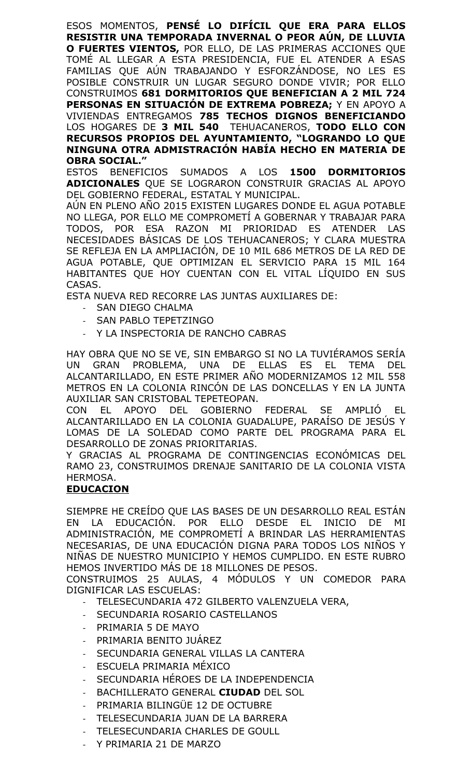ESOS MOMENTOS, **PENSÉ LO DIFÍCIL QUE ERA PARA ELLOS RESISTIR UNA TEMPORADA INVERNAL O PEOR AÚN, DE LLUVIA O FUERTES VIENTOS,** POR ELLO, DE LAS PRIMERAS ACCIONES QUE TOMÉ AL LLEGAR A ESTA PRESIDENCIA, FUE EL ATENDER A ESAS FAMILIAS QUE AÚN TRABAJANDO Y ESFORZÁNDOSE, NO LES ES POSIBLE CONSTRUIR UN LUGAR SEGURO DONDE VIVIR; POR ELLO CONSTRUIMOS **681 DORMITORIOS QUE BENEFICIAN A 2 MIL 724 PERSONAS EN SITUACIÓN DE EXTREMA POBREZA;** Y EN APOYO A VIVIENDAS ENTREGAMOS **785 TECHOS DIGNOS BENEFICIANDO**  LOS HOGARES DE **3 MIL 540** TEHUACANEROS, **TODO ELLO CON RECURSOS PROPIOS DEL AYUNTAMIENTO, "LOGRANDO LO QUE NINGUNA OTRA ADMISTRACIÓN HABÍA HECHO EN MATERIA DE OBRA SOCIAL."**

ESTOS BENEFICIOS SUMADOS A LOS **1500 DORMITORIOS ADICIONALES** QUE SE LOGRARON CONSTRUIR GRACIAS AL APOYO DEL GOBIERNO FEDERAL, ESTATAL Y MUNICIPAL.

AÚN EN PLENO AÑO 2015 EXISTEN LUGARES DONDE EL AGUA POTABLE NO LLEGA, POR ELLO ME COMPROMETÍ A GOBERNAR Y TRABAJAR PARA TODOS, POR ESA RAZON MI PRIORIDAD ES ATENDER LAS NECESIDADES BÁSICAS DE LOS TEHUACANEROS; Y CLARA MUESTRA SE REFLEJA EN LA AMPLIACIÓN, DE 10 MIL 686 METROS DE LA RED DE AGUA POTABLE, QUE OPTIMIZAN EL SERVICIO PARA 15 MIL 164 HABITANTES QUE HOY CUENTAN CON EL VITAL LÍQUIDO EN SUS CASAS.

ESTA NUEVA RED RECORRE LAS JUNTAS AUXILIARES DE:

- SAN DIEGO CHALMA
- SAN PABLO TEPETZINGO
- Y LA INSPECTORIA DE RANCHO CABRAS

HAY OBRA QUE NO SE VE, SIN EMBARGO SI NO LA TUVIÉRAMOS SERÍA UN GRAN PROBLEMA, UNA DE ELLAS ES EL TEMA ALCANTARILLADO, EN ESTE PRIMER AÑO MODERNIZAMOS 12 MIL 558 METROS EN LA COLONIA RINCÓN DE LAS DONCELLAS Y EN LA JUNTA AUXILIAR SAN CRISTOBAL TEPETEOPAN.

CON EL APOYO DEL GOBIERNO FEDERAL SE AMPLIÓ EL ALCANTARILLADO EN LA COLONIA GUADALUPE, PARAÍSO DE JESÚS Y LOMAS DE LA SOLEDAD COMO PARTE DEL PROGRAMA PARA EL DESARROLLO DE ZONAS PRIORITARIAS.

Y GRACIAS AL PROGRAMA DE CONTINGENCIAS ECONÓMICAS DEL RAMO 23, CONSTRUIMOS DRENAJE SANITARIO DE LA COLONIA VISTA HERMOSA.

## **EDUCACION**

SIEMPRE HE CREÍDO QUE LAS BASES DE UN DESARROLLO REAL ESTÁN EN LA EDUCACIÓN. POR ELLO DESDE EL INICIO DE MI ADMINISTRACIÓN, ME COMPROMETÍ A BRINDAR LAS HERRAMIENTAS NECESARIAS, DE UNA EDUCACIÓN DIGNA PARA TODOS LOS NIÑOS Y NIÑAS DE NUESTRO MUNICIPIO Y HEMOS CUMPLIDO. EN ESTE RUBRO HEMOS INVERTIDO MÁS DE 18 MILLONES DE PESOS.

CONSTRUIMOS 25 AULAS, 4 MÓDULOS Y UN COMEDOR PARA DIGNIFICAR LAS ESCUELAS:

- TELESECUNDARIA 472 GILBERTO VALENZUELA VERA,
- SECUNDARIA ROSARIO CASTELLANOS
- PRIMARIA 5 DE MAYO
- PRIMARIA BENITO JUÁREZ
- SECUNDARIA GENERAL VILLAS LA CANTERA
- ESCUELA PRIMARIA MÉXICO
- SECUNDARIA HÉROES DE LA INDEPENDENCIA
- BACHILLERATO GENERAL **CIUDAD** DEL SOL
- PRIMARIA BILINGÜE 12 DE OCTUBRE
- TELESECUNDARIA JUAN DE LA BARRERA
- TELESECUNDARIA CHARLES DE GOULL
- Y PRIMARIA 21 DE MARZO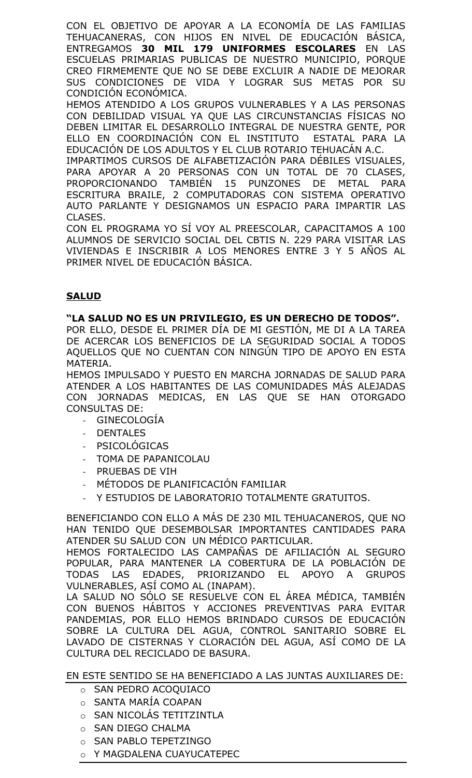CON EL OBJETIVO DE APOYAR A LA ECONOMÍA DE LAS FAMILIAS TEHUACANERAS, CON HIJOS EN NIVEL DE EDUCACIÓN BÁSICA, ENTREGAMOS **30 MIL 179 UNIFORMES ESCOLARES** EN LAS ESCUELAS PRIMARIAS PUBLICAS DE NUESTRO MUNICIPIO, PORQUE CREO FIRMEMENTE QUE NO SE DEBE EXCLUIR A NADIE DE MEJORAR SUS CONDICIONES DE VIDA Y LOGRAR SUS METAS POR SU CONDICIÓN ECONÓMICA.

HEMOS ATENDIDO A LOS GRUPOS VULNERABLES Y A LAS PERSONAS CON DEBILIDAD VISUAL YA QUE LAS CIRCUNSTANCIAS FÍSICAS NO DEBEN LIMITAR EL DESARROLLO INTEGRAL DE NUESTRA GENTE, POR ELLO EN COORDINACIÓN CON EL INSTITUTO ESTATAL PARA LA EDUCACIÓN DE LOS ADULTOS Y EL CLUB ROTARIO TEHUACÁN A.C.

IMPARTIMOS CURSOS DE ALFABETIZACIÓN PARA DÉBILES VISUALES, PARA APOYAR A 20 PERSONAS CON UN TOTAL DE 70 CLASES, PROPORCIONANDO TAMBIÉN 15 PUNZONES DE METAL PARA ESCRITURA BRAILE, 2 COMPUTADORAS CON SISTEMA OPERATIVO AUTO PARLANTE Y DESIGNAMOS UN ESPACIO PARA IMPARTIR LAS CLASES.

CON EL PROGRAMA YO SÍ VOY AL PREESCOLAR, CAPACITAMOS A 100 ALUMNOS DE SERVICIO SOCIAL DEL CBTIS N. 229 PARA VISITAR LAS VIVIENDAS E INSCRIBIR A LOS MENORES ENTRE 3 Y 5 AÑOS AL PRIMER NIVEL DE EDUCACIÓN BÁSICA.

## **SALUD**

## **"LA SALUD NO ES UN PRIVILEGIO, ES UN DERECHO DE TODOS".**

POR ELLO, DESDE EL PRIMER DÍA DE MI GESTIÓN, ME DI A LA TAREA DE ACERCAR LOS BENEFICIOS DE LA SEGURIDAD SOCIAL A TODOS AQUELLOS QUE NO CUENTAN CON NINGÚN TIPO DE APOYO EN ESTA MATERIA.

HEMOS IMPULSADO Y PUESTO EN MARCHA JORNADAS DE SALUD PARA ATENDER A LOS HABITANTES DE LAS COMUNIDADES MÁS ALEJADAS CON JORNADAS MEDICAS, EN LAS QUE SE HAN OTORGADO CONSULTAS DE:

**GINECOLOGÍA** 

- **DENTALES**
- **PSICOLÓGICAS**
- TOMA DE PAPANICOLAU
- PRUEBAS DE VIH
- MÉTODOS DE PLANIFICACIÓN FAMILIAR
- Y ESTUDIOS DE LABORATORIO TOTALMENTE GRATUITOS.

BENEFICIANDO CON ELLO A MÁS DE 230 MIL TEHUACANEROS, QUE NO HAN TENIDO QUE DESEMBOLSAR IMPORTANTES CANTIDADES PARA ATENDER SU SALUD CON UN MÉDICO PARTICULAR.

HEMOS FORTALECIDO LAS CAMPAÑAS DE AFILIACIÓN AL SEGURO POPULAR, PARA MANTENER LA COBERTURA DE LA POBLACIÓN DE TODAS LAS EDADES, PRIORIZANDO EL APOYO A GRUPOS VULNERABLES, ASÍ COMO AL (INAPAM).

LA SALUD NO SÓLO SE RESUELVE CON EL ÁREA MÉDICA, TAMBIÉN CON BUENOS HÁBITOS Y ACCIONES PREVENTIVAS PARA EVITAR PANDEMIAS, POR ELLO HEMOS BRINDADO CURSOS DE EDUCACIÓN SOBRE LA CULTURA DEL AGUA, CONTROL SANITARIO SOBRE EL LAVADO DE CISTERNAS Y CLORACIÓN DEL AGUA, ASÍ COMO DE LA CULTURA DEL RECICLADO DE BASURA.

## EN ESTE SENTIDO SE HA BENEFICIADO A LAS JUNTAS AUXILIARES DE:

- o SAN PEDRO ACOQUIACO
- o SANTA MARÍA COAPAN
- o SAN NICOLÁS TETITZINTLA
- o SAN DIEGO CHALMA
- o SAN PABLO TEPETZINGO
- o Y MAGDALENA CUAYUCATEPEC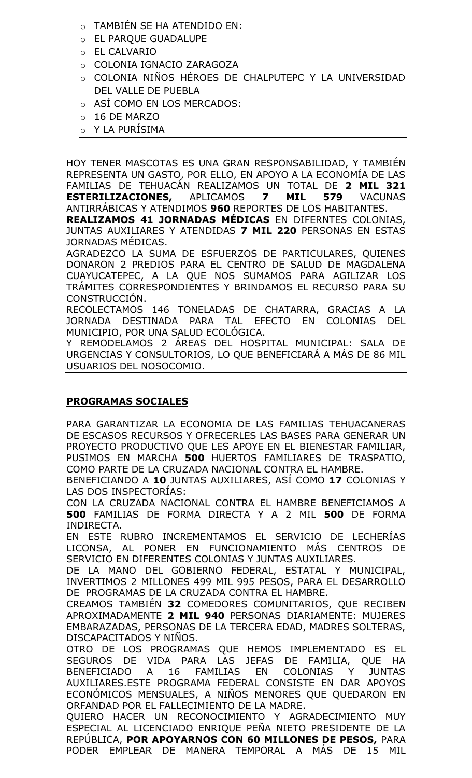- o TAMBIÉN SE HA ATENDIDO EN:
- o EL PARQUE GUADALUPE
- o EL CALVARIO
- o COLONIA IGNACIO ZARAGOZA
- o COLONIA NIÑOS HÉROES DE CHALPUTEPC Y LA UNIVERSIDAD DEL VALLE DE PUEBLA
- o ASÍ COMO EN LOS MERCADOS:
- o 16 DE MARZO
- o Y LA PURÍSIMA

HOY TENER MASCOTAS ES UNA GRAN RESPONSABILIDAD, Y TAMBIÉN REPRESENTA UN GASTO, POR ELLO, EN APOYO A LA ECONOMÍA DE LAS FAMILIAS DE TEHUACÁN REALIZAMOS UN TOTAL DE **2 MIL 321 ESTERILIZACIONES,** APLICAMOS **7 MIL 579** VACUNAS ANTIRRÁBICAS Y ATENDIMOS **960** REPORTES DE LOS HABITANTES. **REALIZAMOS 41 JORNADAS MÉDICAS** EN DIFERNTES COLONIAS, JUNTAS AUXILIARES Y ATENDIDAS **7 MIL 220** PERSONAS EN ESTAS

JORNADAS MÉDICAS.

AGRADEZCO LA SUMA DE ESFUERZOS DE PARTICULARES, QUIENES DONARON 2 PREDIOS PARA EL CENTRO DE SALUD DE MAGDALENA CUAYUCATEPEC, A LA QUE NOS SUMAMOS PARA AGILIZAR LOS TRÁMITES CORRESPONDIENTES Y BRINDAMOS EL RECURSO PARA SU CONSTRUCCIÓN.

RECOLECTAMOS 146 TONELADAS DE CHATARRA, GRACIAS A LA JORNADA DESTINADA PARA TAL EFECTO EN COLONIAS DEL MUNICIPIO, POR UNA SALUD ECOLÓGICA.

Y REMODELAMOS 2 ÁREAS DEL HOSPITAL MUNICIPAL: SALA DE URGENCIAS Y CONSULTORIOS, LO QUE BENEFICIARÁ A MÁS DE 86 MIL USUARIOS DEL NOSOCOMIO.

## **PROGRAMAS SOCIALES**

PARA GARANTIZAR LA ECONOMIA DE LAS FAMILIAS TEHUACANERAS DE ESCASOS RECURSOS Y OFRECERLES LAS BASES PARA GENERAR UN PROYECTO PRODUCTIVO QUE LES APOYE EN EL BIENESTAR FAMILIAR, PUSIMOS EN MARCHA **500** HUERTOS FAMILIARES DE TRASPATIO, COMO PARTE DE LA CRUZADA NACIONAL CONTRA EL HAMBRE.

BENEFICIANDO A **10** JUNTAS AUXILIARES, ASÍ COMO **17** COLONIAS Y LAS DOS INSPECTORÍAS:

CON LA CRUZADA NACIONAL CONTRA EL HAMBRE BENEFICIAMOS A **500** FAMILIAS DE FORMA DIRECTA Y A 2 MIL **500** DE FORMA INDIRECTA.

EN ESTE RUBRO INCREMENTAMOS EL SERVICIO DE LECHERÍAS LICONSA, AL PONER EN FUNCIONAMIENTO MÁS CENTROS DE SERVICIO EN DIFERENTES COLONIAS Y JUNTAS AUXILIARES.

DE LA MANO DEL GOBIERNO FEDERAL, ESTATAL Y MUNICIPAL, INVERTIMOS 2 MILLONES 499 MIL 995 PESOS, PARA EL DESARROLLO DE PROGRAMAS DE LA CRUZADA CONTRA EL HAMBRE.

CREAMOS TAMBIÉN **32** COMEDORES COMUNITARIOS, QUE RECIBEN APROXIMADAMENTE **2 MIL 940** PERSONAS DIARIAMENTE: MUJERES EMBARAZADAS, PERSONAS DE LA TERCERA EDAD, MADRES SOLTERAS, DISCAPACITADOS Y NIÑOS.

OTRO DE LOS PROGRAMAS QUE HEMOS IMPLEMENTADO ES EL SEGUROS DE VIDA PARA LAS JEFAS DE FAMILIA, QUE HA BENEFICIADO A 16 FAMILIAS EN COLONIAS Y JUNTAS AUXILIARES.ESTE PROGRAMA FEDERAL CONSISTE EN DAR APOYOS ECONÓMICOS MENSUALES, A NIÑOS MENORES QUE QUEDARON EN ORFANDAD POR EL FALLECIMIENTO DE LA MADRE.

QUIERO HACER UN RECONOCIMIENTO Y AGRADECIMIENTO MUY ESPECIAL AL LICENCIADO ENRIQUE PEÑA NIETO PRESIDENTE DE LA REPÚBLICA, **POR APOYARNOS CON 60 MILLONES DE PESOS,** PARA PODER EMPLEAR DE MANERA TEMPORAL A MÁS DE 15 MIL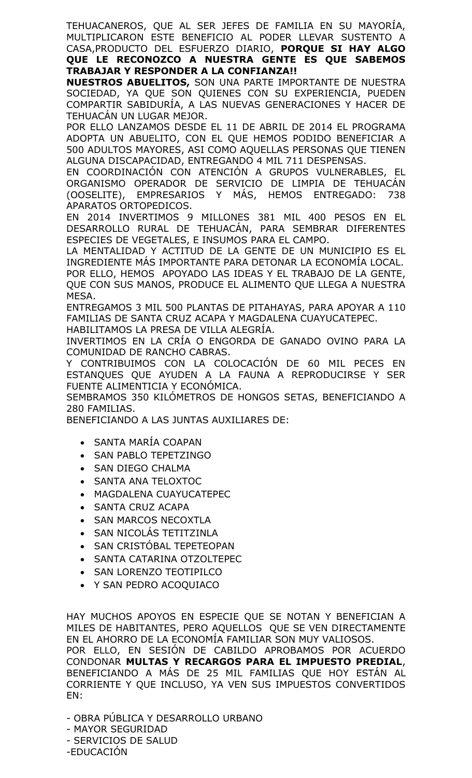TEHUACANEROS, QUE AL SER JEFES DE FAMILIA EN SU MAYORÍA, MULTIPLICARON ESTE BENEFICIO AL PODER LLEVAR SUSTENTO A CASA,PRODUCTO DEL ESFUERZO DIARIO, **PORQUE SI HAY ALGO QUE LE RECONOZCO A NUESTRA GENTE ES QUE SABEMOS TRABAJAR Y RESPONDER A LA CONFIANZA!!**

**NUESTROS ABUELITOS,** SON UNA PARTE IMPORTANTE DE NUESTRA SOCIEDAD, YA QUE SON QUIENES CON SU EXPERIENCIA, PUEDEN COMPARTIR SABIDURÍA, A LAS NUEVAS GENERACIONES Y HACER DE TEHUACÁN UN LUGAR MEJOR.

POR ELLO LANZAMOS DESDE EL 11 DE ABRIL DE 2014 EL PROGRAMA ADOPTA UN ABUELITO, CON EL QUE HEMOS PODIDO BENEFICIAR A 500 ADULTOS MAYORES, ASI COMO AQUELLAS PERSONAS QUE TIENEN ALGUNA DISCAPACIDAD, ENTREGANDO 4 MIL 711 DESPENSAS.

EN COORDINACIÓN CON ATENCIÓN A GRUPOS VULNERABLES, EL ORGANISMO OPERADOR DE SERVICIO DE LIMPIA DE TEHUACÁN (OOSELITE), EMPRESARIOS Y MÁS, HEMOS ENTREGADO: 738 APARATOS ORTOPEDICOS.

EN 2014 INVERTIMOS 9 MILLONES 381 MIL 400 PESOS EN EL DESARROLLO RURAL DE TEHUACÁN, PARA SEMBRAR DIFERENTES ESPECIES DE VEGETALES, E INSUMOS PARA EL CAMPO.

LA MENTALIDAD Y ACTITUD DE LA GENTE DE UN MUNICIPIO ES EL INGREDIENTE MÁS IMPORTANTE PARA DETONAR LA ECONOMÍA LOCAL.

POR ELLO, HEMOS APOYADO LAS IDEAS Y EL TRABAJO DE LA GENTE, QUE CON SUS MANOS, PRODUCE EL ALIMENTO QUE LLEGA A NUESTRA MESA.

ENTREGAMOS 3 MIL 500 PLANTAS DE PITAHAYAS, PARA APOYAR A 110 FAMILIAS DE SANTA CRUZ ACAPA Y MAGDALENA CUAYUCATEPEC.

HABILITAMOS LA PRESA DE VILLA ALEGRÍA.

INVERTIMOS EN LA CRÍA O ENGORDA DE GANADO OVINO PARA LA COMUNIDAD DE RANCHO CABRAS.

Y CONTRIBUIMOS CON LA COLOCACIÓN DE 60 MIL PECES EN ESTANQUES QUE AYUDEN A LA FAUNA A REPRODUCIRSE Y SER FUENTE ALIMENTICIA Y ECONÓMICA.

SEMBRAMOS 350 KILÓMETROS DE HONGOS SETAS, BENEFICIANDO A 280 FAMILIAS.

BENEFICIANDO A LAS JUNTAS AUXILIARES DE:

- SANTA MARÍA COAPAN
- SAN PABLO TEPETZINGO
- SAN DIEGO CHALMA
- SANTA ANA TELOXTOC
- MAGDALENA CUAYUCATEPEC
- SANTA CRUZ ACAPA
- SAN MARCOS NECOXTLA
- SAN NICOLÁS TETITZINLA
- SAN CRISTÓBAL TEPETEOPAN
- SANTA CATARINA OTZOLTEPEC
- SAN LORENZO TEOTIPILCO
- Y SAN PEDRO ACOQUIACO

HAY MUCHOS APOYOS EN ESPECIE QUE SE NOTAN Y BENEFICIAN A MILES DE HABITANTES, PERO AQUELLOS QUE SE VEN DIRECTAMENTE EN EL AHORRO DE LA ECONOMÍA FAMILIAR SON MUY VALIOSOS.

POR ELLO, EN SESIÓN DE CABILDO APROBAMOS POR ACUERDO CONDONAR **MULTAS Y RECARGOS PARA EL IMPUESTO PREDIAL**, BENEFICIANDO A MÁS DE 25 MIL FAMILIAS QUE HOY ESTÁN AL CORRIENTE Y QUE INCLUSO, YA VEN SUS IMPUESTOS CONVERTIDOS EN:

- OBRA PÚBLICA Y DESARROLLO URBANO - MAYOR SEGURIDAD - SERVICIOS DE SALUD -EDUCACIÓN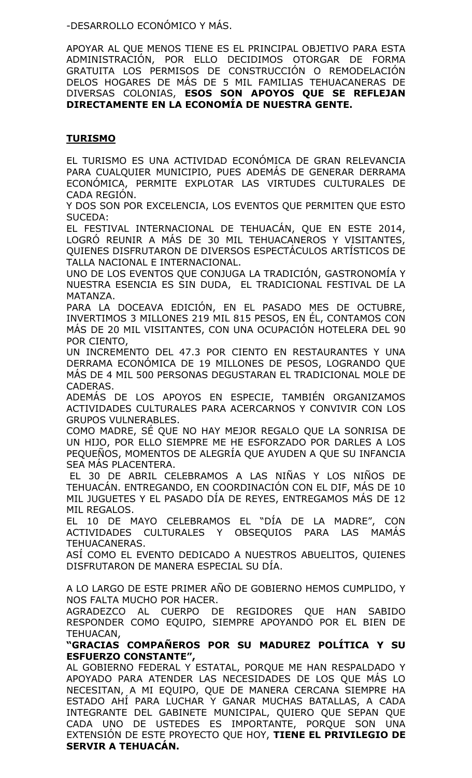-DESARROLLO ECONÓMICO Y MÁS.

APOYAR AL QUE MENOS TIENE ES EL PRINCIPAL OBJETIVO PARA ESTA ADMINISTRACIÓN, POR ELLO DECIDIMOS OTORGAR DE FORMA GRATUITA LOS PERMISOS DE CONSTRUCCIÓN O REMODELACIÓN DELOS HOGARES DE MÁS DE 5 MIL FAMILIAS TEHUACANERAS DE DIVERSAS COLONIAS, **ESOS SON APOYOS QUE SE REFLEJAN DIRECTAMENTE EN LA ECONOMÍA DE NUESTRA GENTE.**

# **TURISMO**

EL TURISMO ES UNA ACTIVIDAD ECONÓMICA DE GRAN RELEVANCIA PARA CUALQUIER MUNICIPIO, PUES ADEMÁS DE GENERAR DERRAMA ECONÓMICA, PERMITE EXPLOTAR LAS VIRTUDES CULTURALES DE CADA REGIÓN.

Y DOS SON POR EXCELENCIA, LOS EVENTOS QUE PERMITEN QUE ESTO SUCEDA:

EL FESTIVAL INTERNACIONAL DE TEHUACÁN, QUE EN ESTE 2014, LOGRÓ REUNIR A MÁS DE 30 MIL TEHUACANEROS Y VISITANTES, QUIENES DISFRUTARON DE DIVERSOS ESPECTÁCULOS ARTÍSTICOS DE TALLA NACIONAL E INTERNACIONAL.

UNO DE LOS EVENTOS QUE CONJUGA LA TRADICIÓN, GASTRONOMÍA Y NUESTRA ESENCIA ES SIN DUDA, EL TRADICIONAL FESTIVAL DE LA MATANZA.

PARA LA DOCEAVA EDICIÓN, EN EL PASADO MES DE OCTUBRE, INVERTIMOS 3 MILLONES 219 MIL 815 PESOS, EN ÉL, CONTAMOS CON MÁS DE 20 MIL VISITANTES, CON UNA OCUPACIÓN HOTELERA DEL 90 POR CIENTO,

UN INCREMENTO DEL 47.3 POR CIENTO EN RESTAURANTES Y UNA DERRAMA ECONÓMICA DE 19 MILLONES DE PESOS, LOGRANDO QUE MÁS DE 4 MIL 500 PERSONAS DEGUSTARAN EL TRADICIONAL MOLE DE CADERAS.

ADEMÁS DE LOS APOYOS EN ESPECIE, TAMBIÉN ORGANIZAMOS ACTIVIDADES CULTURALES PARA ACERCARNOS Y CONVIVIR CON LOS GRUPOS VULNERABLES.

COMO MADRE, SÉ QUE NO HAY MEJOR REGALO QUE LA SONRISA DE UN HIJO, POR ELLO SIEMPRE ME HE ESFORZADO POR DARLES A LOS PEQUEÑOS, MOMENTOS DE ALEGRÍA QUE AYUDEN A QUE SU INFANCIA SEA MÁS PLACENTERA.

EL 30 DE ABRIL CELEBRAMOS A LAS NIÑAS Y LOS NIÑOS DE TEHUACÁN. ENTREGANDO, EN COORDINACIÓN CON EL DIF, MÁS DE 10 MIL JUGUETES Y EL PASADO DÍA DE REYES, ENTREGAMOS MÁS DE 12 MIL REGALOS.

EL 10 DE MAYO CELEBRAMOS EL "DÍA DE LA MADRE", CON ACTIVIDADES CULTURALES Y OBSEQUIOS PARA LAS MAMÁS TEHUACANERAS.

ASÍ COMO EL EVENTO DEDICADO A NUESTROS ABUELITOS, QUIENES DISFRUTARON DE MANERA ESPECIAL SU DÍA.

A LO LARGO DE ESTE PRIMER AÑO DE GOBIERNO HEMOS CUMPLIDO, Y NOS FALTA MUCHO POR HACER.

AGRADEZCO AL CUERPO DE REGIDORES QUE HAN SABIDO RESPONDER COMO EQUIPO, SIEMPRE APOYANDO POR EL BIEN DE TEHUACAN,

**"GRACIAS COMPAÑEROS POR SU MADUREZ POLÍTICA Y SU ESFUERZO CONSTANTE",** 

AL GOBIERNO FEDERAL Y ESTATAL, PORQUE ME HAN RESPALDADO Y APOYADO PARA ATENDER LAS NECESIDADES DE LOS QUE MÁS LO NECESITAN, A MI EQUIPO, QUE DE MANERA CERCANA SIEMPRE HA ESTADO AHÍ PARA LUCHAR Y GANAR MUCHAS BATALLAS, A CADA INTEGRANTE DEL GABINETE MUNICIPAL, QUIERO QUE SEPAN QUE CADA UNO DE USTEDES ES IMPORTANTE, PORQUE SON UNA EXTENSIÓN DE ESTE PROYECTO QUE HOY, **TIENE EL PRIVILEGIO DE SERVIR A TEHUACÁN.**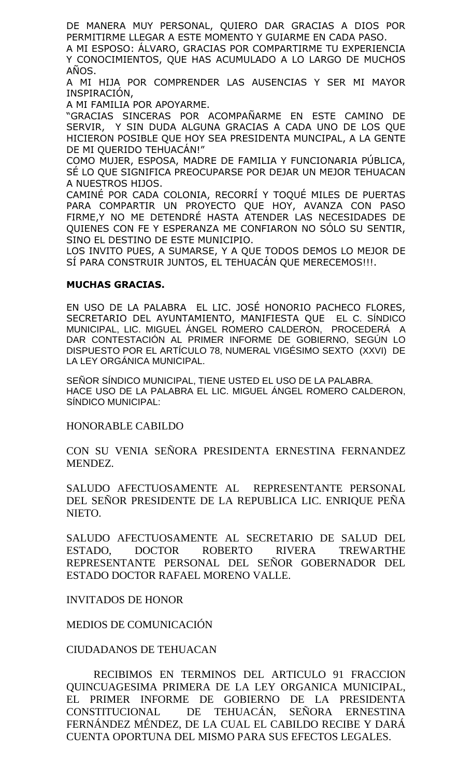DE MANERA MUY PERSONAL, QUIERO DAR GRACIAS A DIOS POR PERMITIRME LLEGAR A ESTE MOMENTO Y GUIARME EN CADA PASO.

A MI ESPOSO: ÁLVARO, GRACIAS POR COMPARTIRME TU EXPERIENCIA Y CONOCIMIENTOS, QUE HAS ACUMULADO A LO LARGO DE MUCHOS AÑOS.

A MI HIJA POR COMPRENDER LAS AUSENCIAS Y SER MI MAYOR INSPIRACIÓN,

A MI FAMILIA POR APOYARME.

"GRACIAS SINCERAS POR ACOMPAÑARME EN ESTE CAMINO DE SERVIR, Y SIN DUDA ALGUNA GRACIAS A CADA UNO DE LOS QUE HICIERON POSIBLE QUE HOY SEA PRESIDENTA MUNCIPAL, A LA GENTE DE MI QUERIDO TEHUACAN!"

COMO MUJER, ESPOSA, MADRE DE FAMILIA Y FUNCIONARIA PÚBLICA, SÉ LO QUE SIGNIFICA PREOCUPARSE POR DEJAR UN MEJOR TEHUACAN A NUESTROS HIJOS.

CAMINÉ POR CADA COLONIA, RECORRÍ Y TOQUÉ MILES DE PUERTAS PARA COMPARTIR UN PROYECTO QUE HOY, AVANZA CON PASO FIRME,Y NO ME DETENDRÉ HASTA ATENDER LAS NECESIDADES DE QUIENES CON FE Y ESPERANZA ME CONFIARON NO SÓLO SU SENTIR, SINO EL DESTINO DE ESTE MUNICIPIO.

LOS INVITO PUES, A SUMARSE, Y A QUE TODOS DEMOS LO MEJOR DE SÍ PARA CONSTRUIR JUNTOS, EL TEHUACÁN QUE MERECEMOS!!!.

### **MUCHAS GRACIAS.**

EN USO DE LA PALABRA EL LIC. JOSÉ HONORIO PACHECO FLORES, SECRETARIO DEL AYUNTAMIENTO, MANIFIESTA QUE EL C. SÍNDICO MUNICIPAL, LIC. MIGUEL ÁNGEL ROMERO CALDERON, PROCEDERÁ A DAR CONTESTACIÓN AL PRIMER INFORME DE GOBIERNO, SEGÚN LO DISPUESTO POR EL ARTÍCULO 78, NUMERAL VIGÉSIMO SEXTO (XXVI) DE LA LEY ORGÁNICA MUNICIPAL.

SEÑOR SÍNDICO MUNICIPAL, TIENE USTED EL USO DE LA PALABRA. HACE USO DE LA PALABRA EL LIC. MIGUEL ÁNGEL ROMERO CALDERON, SÍNDICO MUNICIPAL:

HONORABLE CABILDO

CON SU VENIA SEÑORA PRESIDENTA ERNESTINA FERNANDEZ MENDEZ.

SALUDO AFECTUOSAMENTE AL REPRESENTANTE PERSONAL DEL SEÑOR PRESIDENTE DE LA REPUBLICA LIC. ENRIQUE PEÑA NIETO.

SALUDO AFECTUOSAMENTE AL SECRETARIO DE SALUD DEL ESTADO, DOCTOR ROBERTO RIVERA TREWARTHE REPRESENTANTE PERSONAL DEL SEÑOR GOBERNADOR DEL ESTADO DOCTOR RAFAEL MORENO VALLE.

INVITADOS DE HONOR

MEDIOS DE COMUNICACIÓN

### CIUDADANOS DE TEHUACAN

RECIBIMOS EN TERMINOS DEL ARTICULO 91 FRACCION QUINCUAGESIMA PRIMERA DE LA LEY ORGANICA MUNICIPAL, EL PRIMER INFORME DE GOBIERNO DE LA PRESIDENTA CONSTITUCIONAL DE TEHUACÁN, SENORA ERNESTINA FERNÁNDEZ MÉNDEZ, DE LA CUAL EL CABILDO RECIBE Y DARÁ CUENTA OPORTUNA DEL MISMO PARA SUS EFECTOS LEGALES.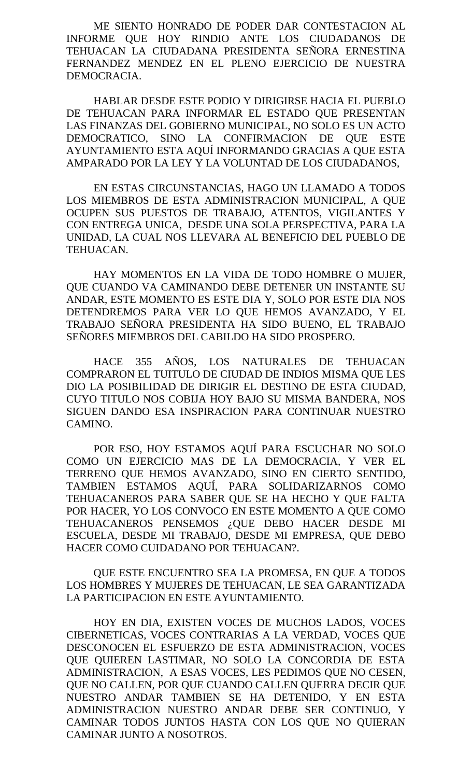ME SIENTO HONRADO DE PODER DAR CONTESTACION AL INFORME QUE HOY RINDIO ANTE LOS CIUDADANOS DE TEHUACAN LA CIUDADANA PRESIDENTA SEÑORA ERNESTINA FERNANDEZ MENDEZ EN EL PLENO EJERCICIO DE NUESTRA DEMOCRACIA.

HABLAR DESDE ESTE PODIO Y DIRIGIRSE HACIA EL PUEBLO DE TEHUACAN PARA INFORMAR EL ESTADO QUE PRESENTAN LAS FINANZAS DEL GOBIERNO MUNICIPAL, NO SOLO ES UN ACTO DEMOCRATICO, SINO LA CONFIRMACION DE QUE ESTE AYUNTAMIENTO ESTA AQUÍ INFORMANDO GRACIAS A QUE ESTA AMPARADO POR LA LEY Y LA VOLUNTAD DE LOS CIUDADANOS,

EN ESTAS CIRCUNSTANCIAS, HAGO UN LLAMADO A TODOS LOS MIEMBROS DE ESTA ADMINISTRACION MUNICIPAL, A QUE OCUPEN SUS PUESTOS DE TRABAJO, ATENTOS, VIGILANTES Y CON ENTREGA UNICA, DESDE UNA SOLA PERSPECTIVA, PARA LA UNIDAD, LA CUAL NOS LLEVARA AL BENEFICIO DEL PUEBLO DE TEHUACAN.

HAY MOMENTOS EN LA VIDA DE TODO HOMBRE O MUJER, QUE CUANDO VA CAMINANDO DEBE DETENER UN INSTANTE SU ANDAR, ESTE MOMENTO ES ESTE DIA Y, SOLO POR ESTE DIA NOS DETENDREMOS PARA VER LO QUE HEMOS AVANZADO, Y EL TRABAJO SEÑORA PRESIDENTA HA SIDO BUENO, EL TRABAJO SEÑORES MIEMBROS DEL CABILDO HA SIDO PROSPERO.

HACE 355 AÑOS, LOS NATURALES DE TEHUACAN COMPRARON EL TUITULO DE CIUDAD DE INDIOS MISMA QUE LES DIO LA POSIBILIDAD DE DIRIGIR EL DESTINO DE ESTA CIUDAD, CUYO TITULO NOS COBIJA HOY BAJO SU MISMA BANDERA, NOS SIGUEN DANDO ESA INSPIRACION PARA CONTINUAR NUESTRO CAMINO.

POR ESO, HOY ESTAMOS AQUÍ PARA ESCUCHAR NO SOLO COMO UN EJERCICIO MAS DE LA DEMOCRACIA, Y VER EL TERRENO QUE HEMOS AVANZADO, SINO EN CIERTO SENTIDO, TAMBIEN ESTAMOS AQUÍ, PARA SOLIDARIZARNOS COMO TEHUACANEROS PARA SABER QUE SE HA HECHO Y QUE FALTA POR HACER, YO LOS CONVOCO EN ESTE MOMENTO A QUE COMO TEHUACANEROS PENSEMOS ¿QUE DEBO HACER DESDE MI ESCUELA, DESDE MI TRABAJO, DESDE MI EMPRESA, QUE DEBO HACER COMO CUIDADANO POR TEHUACAN?.

QUE ESTE ENCUENTRO SEA LA PROMESA, EN QUE A TODOS LOS HOMBRES Y MUJERES DE TEHUACAN, LE SEA GARANTIZADA LA PARTICIPACION EN ESTE AYUNTAMIENTO.

HOY EN DIA, EXISTEN VOCES DE MUCHOS LADOS, VOCES CIBERNETICAS, VOCES CONTRARIAS A LA VERDAD, VOCES QUE DESCONOCEN EL ESFUERZO DE ESTA ADMINISTRACION, VOCES QUE QUIEREN LASTIMAR, NO SOLO LA CONCORDIA DE ESTA ADMINISTRACION, A ESAS VOCES, LES PEDIMOS QUE NO CESEN, QUE NO CALLEN, POR QUE CUANDO CALLEN QUERRA DECIR QUE NUESTRO ANDAR TAMBIEN SE HA DETENIDO, Y EN ESTA ADMINISTRACION NUESTRO ANDAR DEBE SER CONTINUO, Y CAMINAR TODOS JUNTOS HASTA CON LOS QUE NO QUIERAN CAMINAR JUNTO A NOSOTROS.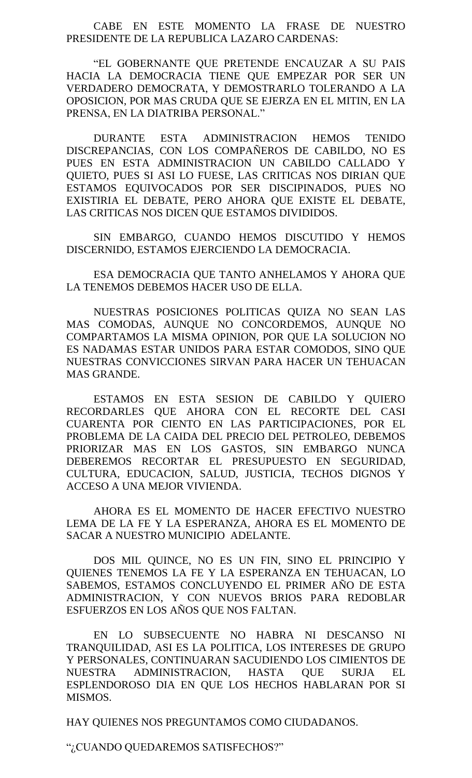CABE EN ESTE MOMENTO LA FRASE DE NUESTRO PRESIDENTE DE LA REPUBLICA LAZARO CARDENAS:

"EL GOBERNANTE QUE PRETENDE ENCAUZAR A SU PAIS HACIA LA DEMOCRACIA TIENE QUE EMPEZAR POR SER UN VERDADERO DEMOCRATA, Y DEMOSTRARLO TOLERANDO A LA OPOSICION, POR MAS CRUDA QUE SE EJERZA EN EL MITIN, EN LA PRENSA, EN LA DIATRIBA PERSONAL."

DURANTE ESTA ADMINISTRACION HEMOS TENIDO DISCREPANCIAS, CON LOS COMPAÑEROS DE CABILDO, NO ES PUES EN ESTA ADMINISTRACION UN CABILDO CALLADO Y QUIETO, PUES SI ASI LO FUESE, LAS CRITICAS NOS DIRIAN QUE ESTAMOS EQUIVOCADOS POR SER DISCIPINADOS, PUES NO EXISTIRIA EL DEBATE, PERO AHORA QUE EXISTE EL DEBATE, LAS CRITICAS NOS DICEN QUE ESTAMOS DIVIDIDOS.

SIN EMBARGO, CUANDO HEMOS DISCUTIDO Y HEMOS DISCERNIDO, ESTAMOS EJERCIENDO LA DEMOCRACIA.

ESA DEMOCRACIA QUE TANTO ANHELAMOS Y AHORA QUE LA TENEMOS DEBEMOS HACER USO DE ELLA.

NUESTRAS POSICIONES POLITICAS QUIZA NO SEAN LAS MAS COMODAS, AUNQUE NO CONCORDEMOS, AUNQUE NO COMPARTAMOS LA MISMA OPINION, POR QUE LA SOLUCION NO ES NADAMAS ESTAR UNIDOS PARA ESTAR COMODOS, SINO QUE NUESTRAS CONVICCIONES SIRVAN PARA HACER UN TEHUACAN MAS GRANDE.

ESTAMOS EN ESTA SESION DE CABILDO Y QUIERO RECORDARLES QUE AHORA CON EL RECORTE DEL CASI CUARENTA POR CIENTO EN LAS PARTICIPACIONES, POR EL PROBLEMA DE LA CAIDA DEL PRECIO DEL PETROLEO, DEBEMOS PRIORIZAR MAS EN LOS GASTOS, SIN EMBARGO NUNCA DEBEREMOS RECORTAR EL PRESUPUESTO EN SEGURIDAD, CULTURA, EDUCACION, SALUD, JUSTICIA, TECHOS DIGNOS Y ACCESO A UNA MEJOR VIVIENDA.

AHORA ES EL MOMENTO DE HACER EFECTIVO NUESTRO LEMA DE LA FE Y LA ESPERANZA, AHORA ES EL MOMENTO DE SACAR A NUESTRO MUNICIPIO ADELANTE.

DOS MIL QUINCE, NO ES UN FIN, SINO EL PRINCIPIO Y QUIENES TENEMOS LA FE Y LA ESPERANZA EN TEHUACAN, LO SABEMOS, ESTAMOS CONCLUYENDO EL PRIMER AÑO DE ESTA ADMINISTRACION, Y CON NUEVOS BRIOS PARA REDOBLAR ESFUERZOS EN LOS AÑOS QUE NOS FALTAN.

EN LO SUBSECUENTE NO HABRA NI DESCANSO NI TRANQUILIDAD, ASI ES LA POLITICA, LOS INTERESES DE GRUPO Y PERSONALES, CONTINUARAN SACUDIENDO LOS CIMIENTOS DE NUESTRA ADMINISTRACION, HASTA QUE SURJA EL ESPLENDOROSO DIA EN QUE LOS HECHOS HABLARAN POR SI MISMOS.

HAY QUIENES NOS PREGUNTAMOS COMO CIUDADANOS.

"¿CUANDO QUEDAREMOS SATISFECHOS?"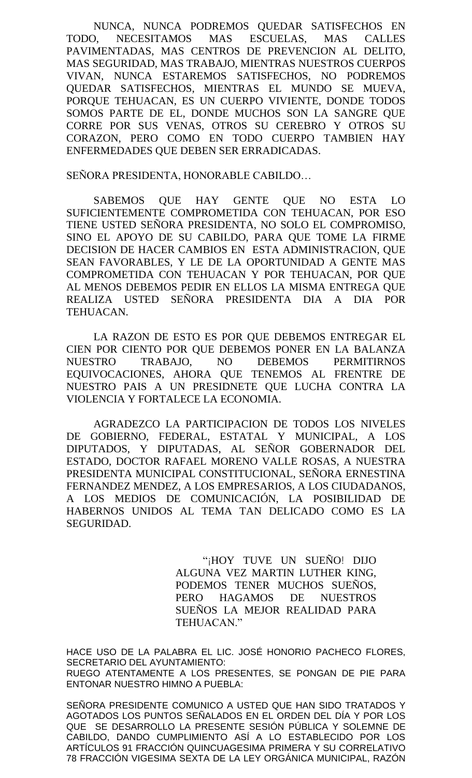NUNCA, NUNCA PODREMOS QUEDAR SATISFECHOS EN TODO, NECESITAMOS MAS ESCUELAS, MAS CALLES PAVIMENTADAS, MAS CENTROS DE PREVENCION AL DELITO, MAS SEGURIDAD, MAS TRABAJO, MIENTRAS NUESTROS CUERPOS VIVAN, NUNCA ESTAREMOS SATISFECHOS, NO PODREMOS QUEDAR SATISFECHOS, MIENTRAS EL MUNDO SE MUEVA, PORQUE TEHUACAN, ES UN CUERPO VIVIENTE, DONDE TODOS SOMOS PARTE DE EL, DONDE MUCHOS SON LA SANGRE QUE CORRE POR SUS VENAS, OTROS SU CEREBRO Y OTROS SU CORAZON, PERO COMO EN TODO CUERPO TAMBIEN HAY ENFERMEDADES QUE DEBEN SER ERRADICADAS.

### SEÑORA PRESIDENTA, HONORABLE CABILDO…

SABEMOS QUE HAY GENTE QUE NO ESTA LO SUFICIENTEMENTE COMPROMETIDA CON TEHUACAN, POR ESO TIENE USTED SEÑORA PRESIDENTA, NO SOLO EL COMPROMISO, SINO EL APOYO DE SU CABILDO, PARA QUE TOME LA FIRME DECISION DE HACER CAMBIOS EN ESTA ADMINISTRACION, QUE SEAN FAVORABLES, Y LE DE LA OPORTUNIDAD A GENTE MAS COMPROMETIDA CON TEHUACAN Y POR TEHUACAN, POR QUE AL MENOS DEBEMOS PEDIR EN ELLOS LA MISMA ENTREGA QUE REALIZA USTED SEÑORA PRESIDENTA DIA A DIA POR TEHUACAN.

LA RAZON DE ESTO ES POR QUE DEBEMOS ENTREGAR EL CIEN POR CIENTO POR QUE DEBEMOS PONER EN LA BALANZA NUESTRO TRABAJO, NO DEBEMOS PERMITIRNOS EQUIVOCACIONES, AHORA QUE TENEMOS AL FRENTRE DE NUESTRO PAIS A UN PRESIDNETE QUE LUCHA CONTRA LA VIOLENCIA Y FORTALECE LA ECONOMIA.

AGRADEZCO LA PARTICIPACION DE TODOS LOS NIVELES DE GOBIERNO, FEDERAL, ESTATAL Y MUNICIPAL, A LOS DIPUTADOS, Y DIPUTADAS, AL SEÑOR GOBERNADOR DEL ESTADO, DOCTOR RAFAEL MORENO VALLE ROSAS, A NUESTRA PRESIDENTA MUNICIPAL CONSTITUCIONAL, SEÑORA ERNESTINA FERNANDEZ MENDEZ, A LOS EMPRESARIOS, A LOS CIUDADANOS, A LOS MEDIOS DE COMUNICACIÓN, LA POSIBILIDAD DE HABERNOS UNIDOS AL TEMA TAN DELICADO COMO ES LA SEGURIDAD.

> "¡HOY TUVE UN SUEÑO! DIJO ALGUNA VEZ MARTIN LUTHER KING, PODEMOS TENER MUCHOS SUEÑOS, PERO HAGAMOS DE NUESTROS SUEÑOS LA MEJOR REALIDAD PARA TEHUACAN."

HACE USO DE LA PALABRA EL LIC. JOSÉ HONORIO PACHECO FLORES, SECRETARIO DEL AYUNTAMIENTO: RUEGO ATENTAMENTE A LOS PRESENTES, SE PONGAN DE PIE PARA ENTONAR NUESTRO HIMNO A PUEBLA:

SEÑORA PRESIDENTE COMUNICO A USTED QUE HAN SIDO TRATADOS Y AGOTADOS LOS PUNTOS SEÑALADOS EN EL ORDEN DEL DÍA Y POR LOS QUE SE DESARROLLO LA PRESENTE SESIÓN PÚBLICA Y SOLEMNE DE CABILDO, DANDO CUMPLIMIENTO ASÍ A LO ESTABLECIDO POR LOS ARTÍCULOS 91 FRACCIÓN QUINCUAGESIMA PRIMERA Y SU CORRELATIVO 78 FRACCIÓN VIGESIMA SEXTA DE LA LEY ORGÁNICA MUNICIPAL, RAZÓN